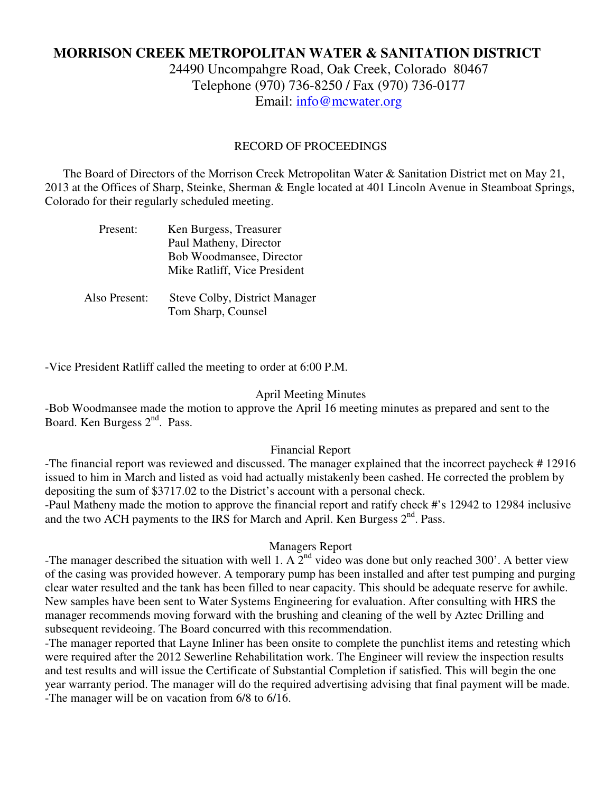# **MORRISON CREEK METROPOLITAN WATER & SANITATION DISTRICT**

24490 Uncompahgre Road, Oak Creek, Colorado 80467 Telephone (970) 736-8250 / Fax (970) 736-0177 Email: info@mcwater.org

## RECORD OF PROCEEDINGS

 The Board of Directors of the Morrison Creek Metropolitan Water & Sanitation District met on May 21, 2013 at the Offices of Sharp, Steinke, Sherman & Engle located at 401 Lincoln Avenue in Steamboat Springs, Colorado for their regularly scheduled meeting.

| Present:      | Ken Burgess, Treasurer        |
|---------------|-------------------------------|
|               | Paul Matheny, Director        |
|               | Bob Woodmansee, Director      |
|               | Mike Ratliff, Vice President  |
|               |                               |
| Also Present: | Steve Colby, District Manager |
|               | Tom Sharp, Counsel            |

-Vice President Ratliff called the meeting to order at 6:00 P.M.

#### April Meeting Minutes

-Bob Woodmansee made the motion to approve the April 16 meeting minutes as prepared and sent to the Board. Ken Burgess 2<sup>nd</sup>. Pass.

#### Financial Report

-The financial report was reviewed and discussed. The manager explained that the incorrect paycheck # 12916 issued to him in March and listed as void had actually mistakenly been cashed. He corrected the problem by depositing the sum of \$3717.02 to the District's account with a personal check. -Paul Matheny made the motion to approve the financial report and ratify check #'s 12942 to 12984 inclusive and the two ACH payments to the IRS for March and April. Ken Burgess 2<sup>nd</sup>. Pass.

#### Managers Report

-The manager described the situation with well 1. A  $2^{nd}$  video was done but only reached 300'. A better view of the casing was provided however. A temporary pump has been installed and after test pumping and purging clear water resulted and the tank has been filled to near capacity. This should be adequate reserve for awhile. New samples have been sent to Water Systems Engineering for evaluation. After consulting with HRS the manager recommends moving forward with the brushing and cleaning of the well by Aztec Drilling and subsequent revideoing. The Board concurred with this recommendation.

-The manager reported that Layne Inliner has been onsite to complete the punchlist items and retesting which were required after the 2012 Sewerline Rehabilitation work. The Engineer will review the inspection results and test results and will issue the Certificate of Substantial Completion if satisfied. This will begin the one year warranty period. The manager will do the required advertising advising that final payment will be made. -The manager will be on vacation from 6/8 to 6/16.